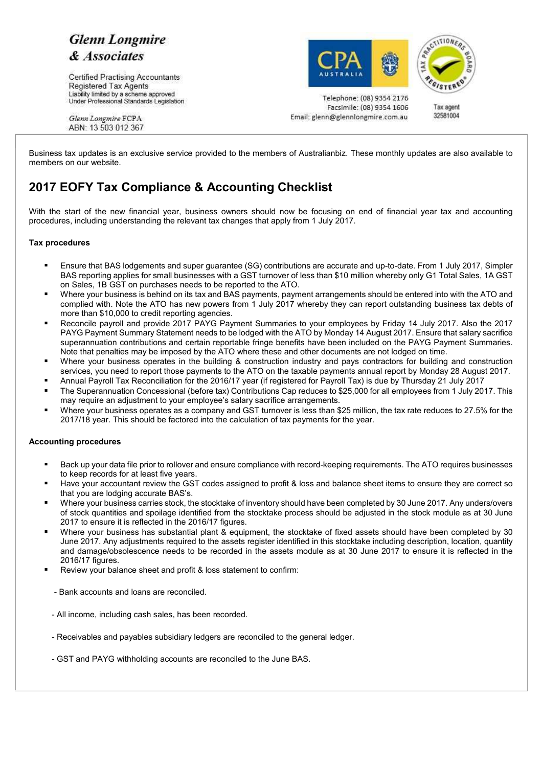# **Glenn Longmire** & Associates

Certified Practising Accountants Registered Tax Agents Liability limited by a scheme approved Under Professional Standards Legislation





Telephone: (08) 9354 2176 Facsimile: (08) 9354 1606 Email: glenn@glennlongmire.com.au

Tax agent 32581004

Glenn Longmire FCPA ABN: 13 503 012 367

Business tax updates is an exclusive service provided to the members of Australianbiz. These monthly updates are also available to members on our website.

# **2017 EOFY Tax Compliance & Accounting Checklist**

With the start of the new financial year, business owners should now be focusing on end of financial year tax and accounting procedures, including understanding the relevant tax changes that apply from 1 July 2017.

### **Tax procedures**

- Ensure that BAS lodgements and super guarantee (SG) contributions are accurate and up-to-date. From 1 July 2017, Simpler BAS reporting applies for small businesses with a GST turnover of less than \$10 million whereby only G1 Total Sales, 1A GST on Sales, 1B GST on purchases needs to be reported to the ATO.
- Where your business is behind on its tax and BAS payments, payment arrangements should be entered into with the ATO and complied with. Note the ATO has new powers from 1 July 2017 whereby they can report outstanding business tax debts of more than \$10,000 to credit reporting agencies.
- Reconcile payroll and provide 2017 PAYG Payment Summaries to your employees by Friday 14 July 2017. Also the 2017 PAYG Payment Summary Statement needs to be lodged with the ATO by Monday 14 August 2017. Ensure that salary sacrifice superannuation contributions and certain reportable fringe benefits have been included on the PAYG Payment Summaries. Note that penalties may be imposed by the ATO where these and other documents are not lodged on time.
- Where your business operates in the building & construction industry and pays contractors for building and construction services, you need to report those payments to the ATO on the taxable payments annual report by Monday 28 August 2017.
- Annual Payroll Tax Reconciliation for the 2016/17 year (if registered for Payroll Tax) is due by Thursday 21 July 2017
- The Superannuation Concessional (before tax) Contributions Cap reduces to \$25,000 for all employees from 1 July 2017. This may require an adjustment to your employee's salary sacrifice arrangements.
- Where your business operates as a company and GST turnover is less than \$25 million, the tax rate reduces to 27.5% for the 2017/18 year. This should be factored into the calculation of tax payments for the year.

### **Accounting procedures**

- Back up your data file prior to rollover and ensure compliance with record-keeping requirements. The ATO requires businesses to keep records for at least five years.
- Have your accountant review the GST codes assigned to profit & loss and balance sheet items to ensure they are correct so that you are lodging accurate BAS's.
- Where your business carries stock, the stocktake of inventory should have been completed by 30 June 2017. Any unders/overs of stock quantities and spoilage identified from the stocktake process should be adjusted in the stock module as at 30 June 2017 to ensure it is reflected in the 2016/17 figures.
- Where your business has substantial plant & equipment, the stocktake of fixed assets should have been completed by 30 June 2017. Any adjustments required to the assets register identified in this stocktake including description, location, quantity and damage/obsolescence needs to be recorded in the assets module as at 30 June 2017 to ensure it is reflected in the 2016/17 figures.
- Review your balance sheet and profit & loss statement to confirm:
	- Bank accounts and loans are reconciled.
- All income, including cash sales, has been recorded.
- Receivables and payables subsidiary ledgers are reconciled to the general ledger.
- GST and PAYG withholding accounts are reconciled to the June BAS.